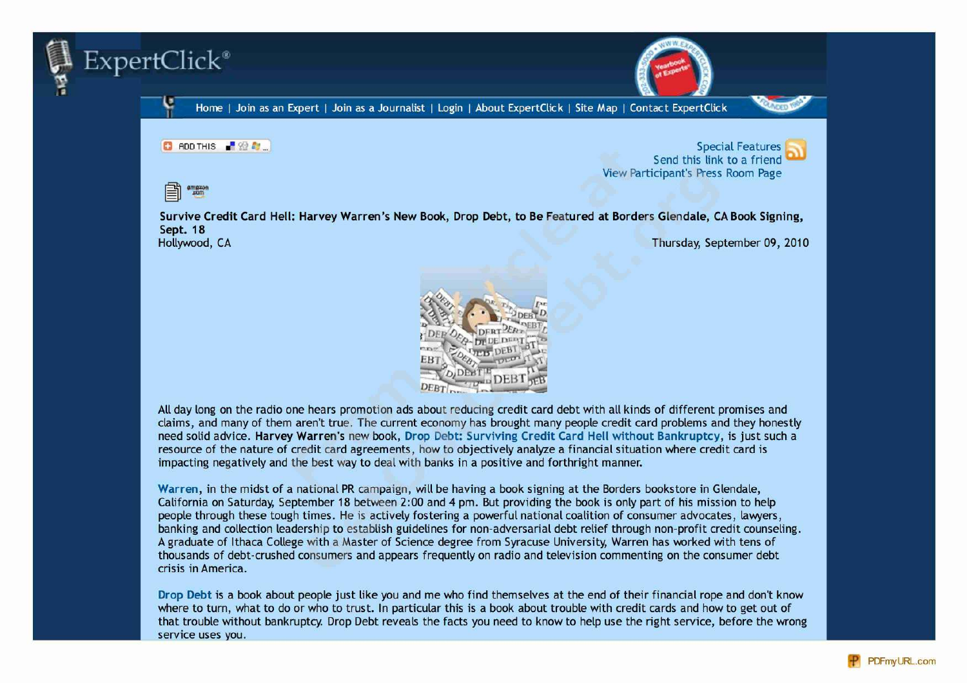



C ROD THIS BODY

Special Features Send this link to a friend View Participant's Press Room Page



**Survive Credit Card Hell: Harvey Warren's New Book, Drop Debt, to Be Featured at Borders Glendale, CA Book Signing,** Sept. 18<br>Hollywood, CA Thursday, September 09, 2010



4ll day long on the radio one hears promotion ads about reducing credit card debt with all kinds of different promises and claims, and many of them aren't true. The current economy has brought many people credit card problems and they honestly need solid advice. **Harvey Warren's** new book, **Drop Debt: Surviving Credit Card Hell without Bankruptcy,** is just such **a** resource of the nature of credit card agreements, how to objectively analyze a financial situation where credit card is impacting negatively and the best way to deal with banks in a positive and forthright manner.

**Warren,** in the midst of a national PR campaign, will be having a book signing at the Borders bookstore in Glendale, California on Saturday, September 18 between 2:00 and 4 pm. But providing the book is only part of his mission to help people through these tough times. He is actively fostering a powerful national coalition of consumer advocates, lawyers, banking and collection leadership to establish guidelines for non-adversarial debt relief through non-profit credit counseling. 4 graduate of Ithaca College with a Master of Science degree from Syracuse University, Warren has worked with tens of thousands of debt-crushed consumers and appears frequently on radio and television commenting on the consumer debt crisis in 4merica.

**Drop Debt** is a book about people just like you and me who find themselves at the end of their financial rope and don't know where to turn, what to do or who to trust. In particular this is a book about trouble with credit cards and how to get out of that trouble without bankruptcy. Drop Debt reveals the facts you need to know to help use the right service, before the wrong service uses you.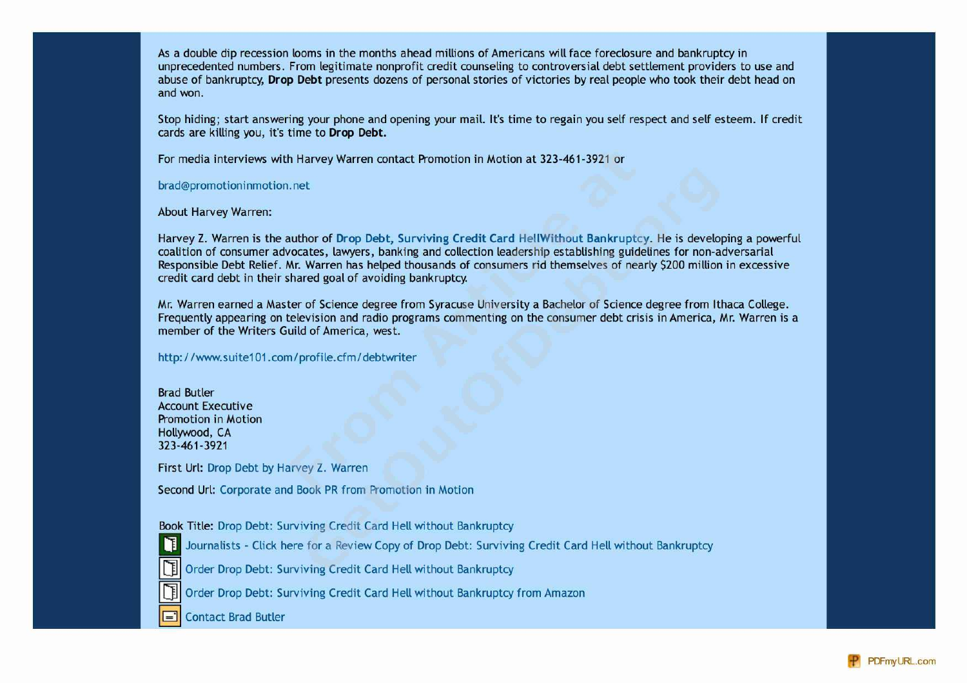4s a double dip recession looms in the months ahead millions of 4mericans will face foreclosure and bankruptcy in unprecedented numbers. From legitimate nonprofit credit counseling to controversial debt settlement providers to use and abuse of bankruptcy, **Drop Debt** presents dozens of personal stories of victories by real people who took their debt head on and won.

Stop hiding; start answering your phone and opening your mail. It's time to regain you self respect and self esteem. If credit cards are killing you, it's time to **Drop Debt.**

For media interviews with Harvey Warren contact Promotion in Motion at 323-461-3921 or

bradgpromotioninmotion. net

4bout Harvey Warren:

Harvey Z. Warren is the author of **Drop Debt, Surviving Credit Card HellWithout Bankruptcy.** He is developing a powerful coalition of consumer advocates, lawyers, banking and collection leadership establishing guidelines for non-adversarial Responsible Debt Relief. Mr. Warren has helped thousands of consumers rid themselves of nearly 5200 million in excessive credit card debt in their shared goal of avoiding bankruptcy.

Mr. Warren earned a Master of Science degree from Syracuse University a Bachelor of Science degree from Ithaca College. Frequently appearing on television and radio programs commenting on the consumer debt crisis in 4merica, Mr. Warren is a member of the Writers Guild of America, west.

http://www.suite101.com/profile.cfm/debtwriter

Brad Butler 4ccount Executive Promotion in Motion Hollywood, CA 323-461-3921

First Url: Drop Debt by Harvey Z. Warren

Second Url: Corporate and Book PR from Promotion in Motion

Book Title: Drop Debt: Surviving Credit Card Hell without Bankruptcy

Journalists - Click here for a Review Copy of Drop Debt: Surviving Credit Card Hell without Bankruptcy

Order Drop Debt: Surviving Credit Card Hell without Bankruptcy

Order Drop Debt: Surviving Credit Card Hell without Bankruptcy from Amazon

Contact Brad Butler